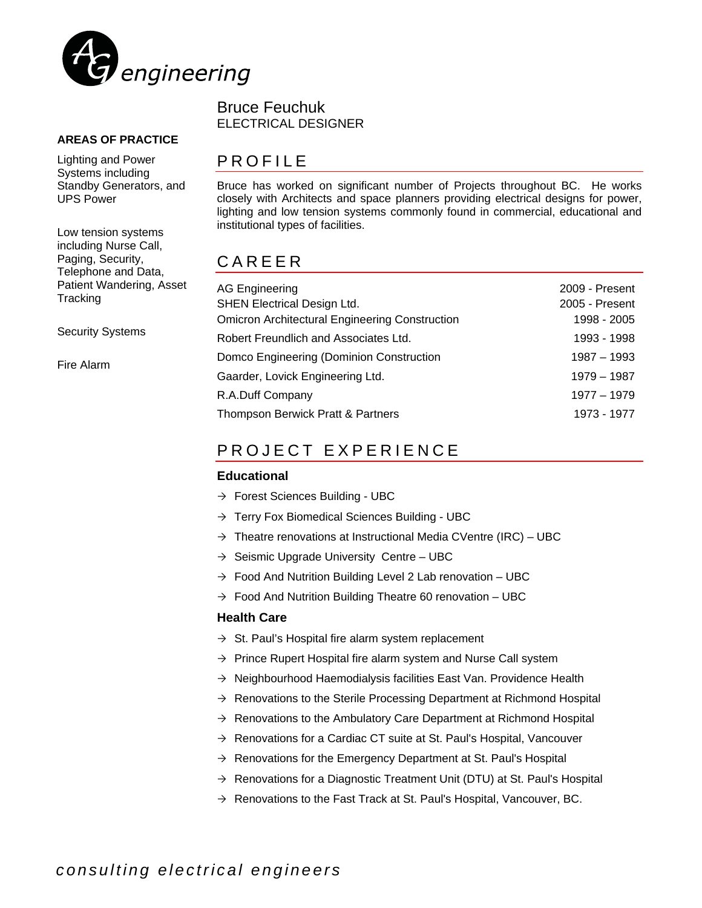

#### **AREAS OF PRACTICE**

Lighting and Power Systems including Standby Generators, and UPS Power

Low tension systems including Nurse Call, Paging, Security, Telephone and Data, Patient Wandering, Asset **Tracking** 

Security Systems

Fire Alarm

### Bruce Feuchuk ELECTRICAL DESIGNER

## PROFILE

Bruce has worked on significant number of Projects throughout BC. He works closely with Architects and space planners providing electrical designs for power, lighting and low tension systems commonly found in commercial, educational and institutional types of facilities.

## CAREER

| <b>AG Engineering</b>                                 | 2009 - Present |
|-------------------------------------------------------|----------------|
| <b>SHEN Electrical Design Ltd.</b>                    | 2005 - Present |
| <b>Omicron Architectural Engineering Construction</b> | 1998 - 2005    |
| Robert Freundlich and Associates Ltd.                 | 1993 - 1998    |
| Domco Engineering (Dominion Construction              | $1987 - 1993$  |
| Gaarder, Lovick Engineering Ltd.                      | 1979 - 1987    |
| R.A.Duff Company                                      | 1977 - 1979    |
| Thompson Berwick Pratt & Partners                     | 1973 - 1977    |

## PROJECT EXPERIENCE

#### **Educational**

- $\rightarrow$  Forest Sciences Building UBC
- $\rightarrow$  Terry Fox Biomedical Sciences Building UBC
- $\rightarrow$  Theatre renovations at Instructional Media CVentre (IRC) UBC
- $\rightarrow$  Seismic Upgrade University Centre UBC
- $\rightarrow$  Food And Nutrition Building Level 2 Lab renovation UBC
- $\rightarrow$  Food And Nutrition Building Theatre 60 renovation UBC

#### **Health Care**

- $\rightarrow$  St. Paul's Hospital fire alarm system replacement
- $\rightarrow$  Prince Rupert Hospital fire alarm system and Nurse Call system
- $\rightarrow$  Neighbourhood Haemodialysis facilities East Van. Providence Health
- $\rightarrow$  Renovations to the Sterile Processing Department at Richmond Hospital
- $\rightarrow$  Renovations to the Ambulatory Care Department at Richmond Hospital
- $\rightarrow$  Renovations for a Cardiac CT suite at St. Paul's Hospital, Vancouver
- $\rightarrow$  Renovations for the Emergency Department at St. Paul's Hospital
- $\rightarrow$  Renovations for a Diagnostic Treatment Unit (DTU) at St. Paul's Hospital
- $\rightarrow$  Renovations to the Fast Track at St. Paul's Hospital, Vancouver, BC.

*consulting electrical engineers*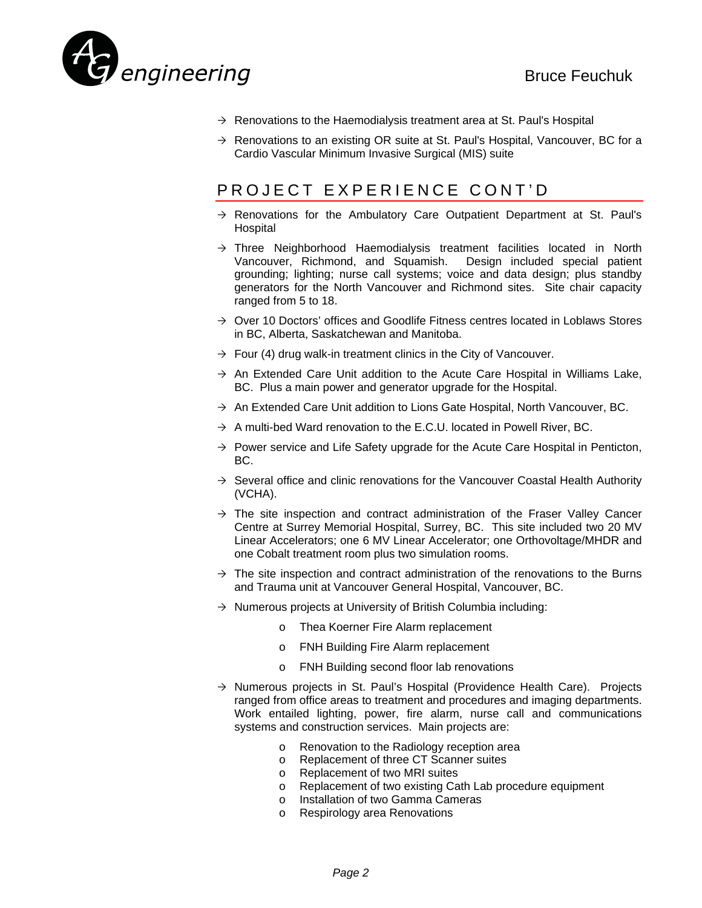

- $\rightarrow$  Renovations to the Haemodialysis treatment area at St. Paul's Hospital
- $\rightarrow$  Renovations to an existing OR suite at St. Paul's Hospital, Vancouver, BC for a Cardio Vascular Minimum Invasive Surgical (MIS) suite

# PROJECT EXPERIENCE CONT'D

- $\rightarrow$  Renovations for the Ambulatory Care Outpatient Department at St. Paul's **Hospital**
- $\rightarrow$  Three Neighborhood Haemodialysis treatment facilities located in North Vancouver, Richmond, and Squamish. Design included special patient grounding; lighting; nurse call systems; voice and data design; plus standby generators for the North Vancouver and Richmond sites. Site chair capacity ranged from 5 to 18.
- $\rightarrow$  Over 10 Doctors' offices and Goodlife Fitness centres located in Loblaws Stores in BC, Alberta, Saskatchewan and Manitoba.
- $\rightarrow$  Four (4) drug walk-in treatment clinics in the City of Vancouver.
- $\rightarrow$  An Extended Care Unit addition to the Acute Care Hospital in Williams Lake, BC. Plus a main power and generator upgrade for the Hospital.
- $\rightarrow$  An Extended Care Unit addition to Lions Gate Hospital, North Vancouver, BC.
- $\rightarrow$  A multi-bed Ward renovation to the E.C.U. located in Powell River, BC.
- $\rightarrow$  Power service and Life Safety upgrade for the Acute Care Hospital in Penticton, BC.
- $\rightarrow$  Several office and clinic renovations for the Vancouver Coastal Health Authority (VCHA).
- $\rightarrow$  The site inspection and contract administration of the Fraser Valley Cancer Centre at Surrey Memorial Hospital, Surrey, BC. This site included two 20 MV Linear Accelerators; one 6 MV Linear Accelerator; one Orthovoltage/MHDR and one Cobalt treatment room plus two simulation rooms.
- $\rightarrow$  The site inspection and contract administration of the renovations to the Burns and Trauma unit at Vancouver General Hospital, Vancouver, BC.
- $\rightarrow$  Numerous projects at University of British Columbia including:
	- o Thea Koerner Fire Alarm replacement
	- o FNH Building Fire Alarm replacement
	- o FNH Building second floor lab renovations
- $\rightarrow$  Numerous projects in St. Paul's Hospital (Providence Health Care). Projects ranged from office areas to treatment and procedures and imaging departments. Work entailed lighting, power, fire alarm, nurse call and communications systems and construction services. Main projects are:
	- o Renovation to the Radiology reception area
	- o Replacement of three CT Scanner suites
	- o Replacement of two MRI suites
	- o Replacement of two existing Cath Lab procedure equipment
	- o Installation of two Gamma Cameras
	- o Respirology area Renovations